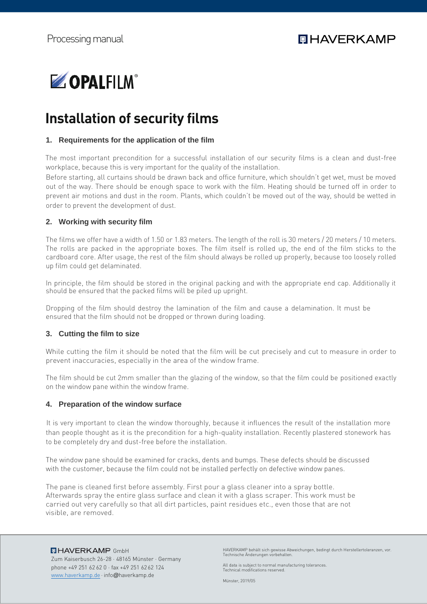

# **Installation of security films**

#### **1. Requirements for the application of the film**

 The most important precondition for a successful installation of our security films is a clean and dust-free workplace, because this is very important for the quality of the installation.

Before starting, all curtains should be drawn back and office furniture, which shouldn't get wet, must be moved out of the way. There should be enough space to work with the film. Heating should be turned off in order to prevent air motions and dust in the room. Plants, which couldn't be moved out of the way, should be wetted in order to prevent the development of dust.

#### **2. Working with security film**

The films we offer have a width of 1.50 or 1.83 meters. The length of the roll is 30 meters / 20 meters / 10 meters. The rolls are packed in the appropriate boxes. The film itself is rolled up, the end of the film sticks to the cardboard core. After usage, the rest of the film should always be rolled up properly, because too loosely rolled up film could get delaminated.

In principle, the film should be stored in the original packing and with the appropriate end cap. Additionally it should be ensured that the packed films will be piled up upright.

Dropping of the film should destroy the lamination of the film and cause a delamination. It must be ensured that the film should not be dropped or thrown during loading.

#### **3. Cutting the film to size**

While cutting the film it should be noted that the film will be cut precisely and cut to measure in order to prevent inaccuracies, especially in the area of the window frame.

The film should be cut 2mm smaller than the glazing of the window, so that the film could be positioned exactly on the window pane within the window frame.

#### **4. Preparation of the window surface**

It is very important to clean the window thoroughly, because it influences the result of the installation more than people thought as it is the precondition for a high-quality installation. Recently plastered stonework has to be completely dry and dust-free before the installation.

The window pane should be examined for cracks, dents and bumps. These defects should be discussed with the customer, because the film could not be installed perfectly on defective window panes.

The pane is cleaned first before assembly. First pour a glass cleaner into a spray bottle. Afterwards spray the entire glass surface and clean it with a glass scraper. This work must be carried out very carefully so that all dirt particles, paint residues etc., even those that are not visible, are removed.

#### **QHAVERKAMP** GmbH Zum Kaiserbusch 26-28 · 48165 Münster · Germany phone +49 251 62 62 0 · fax +49 251 62 62 124 [www.haverkamp.de](http://www.haverkamp.de/) · info*@*[haverkamp.de](mailto:info@haverkamp.de)

HAVERKAMP behält sich gewisse Abweichungen, bedingt durch Herstellertoleranzen, vor. Technische Änderungen vorbehalten.

All data is subject to normal manufacturing tolerances. Technical modifications reserved.

Münster, 2019/05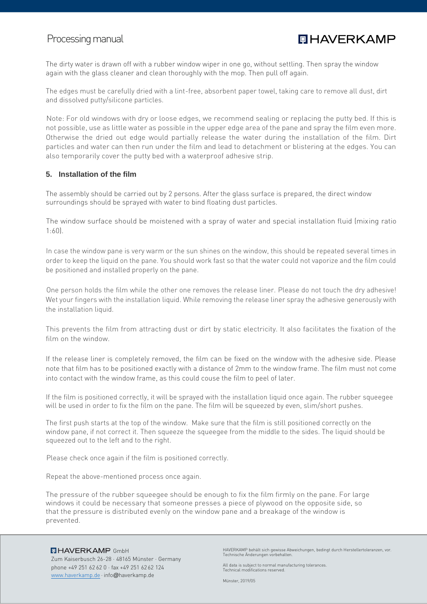### Processing manual

## **QHAVERKAMP**

The dirty water is drawn off with a rubber window wiper in one go, without settling. Then spray the window again with the glass cleaner and clean thoroughly with the mop. Then pull off again.

The edges must be carefully dried with a lint-free, absorbent paper towel, taking care to remove all dust, dirt and dissolved putty/silicone particles.

Note: For old windows with dry or loose edges, we recommend sealing or replacing the putty bed. If this is not possible, use as little water as possible in the upper edge area of the pane and spray the film even more. Otherwise the dried out edge would partially release the water during the installation of the film. Dirt particles and water can then run under the film and lead to detachment or blistering at the edges. You can also temporarily cover the putty bed with a waterproof adhesive strip.

#### **5. Installation of the film**

The assembly should be carried out by 2 persons. After the glass surface is prepared, the direct window surroundings should be sprayed with water to bind floating dust particles.

The window surface should be moistened with a spray of water and special installation fluid (mixing ratio 1:60).

In case the window pane is very warm or the sun shines on the window, this should be repeated several times in order to keep the liquid on the pane. You should work fast so that the water could not vaporize and the film could be positioned and installed properly on the pane.

One person holds the film while the other one removes the release liner. Please do not touch the dry adhesive! Wet your fingers with the installation liquid. While removing the release liner spray the adhesive generously with the installation liquid.

This prevents the film from attracting dust or dirt by static electricity. It also facilitates the fixation of the film on the window.

If the release liner is completely removed, the film can be fixed on the window with the adhesive side. Please note that film has to be positioned exactly with a distance of 2mm to the window frame. The film must not come into contact with the window frame, as this could couse the film to peel of later.

If the film is positioned correctly, it will be sprayed with the installation liquid once again. The rubber squeegee will be used in order to fix the film on the pane. The film will be squeezed by even, slim/short pushes.

The first push starts at the top of the window. Make sure that the film is still positioned correctly on the window pane, if not correct it. Then squeeze the squeegee from the middle to the sides. The liquid should be squeezed out to the left and to the right.

Please check once again if the film is positioned correctly.

Repeat the above-mentioned process once again.

The pressure of the rubber squeegee should be enough to fix the film firmly on the pane. For large windows it could be necessary that someone presses a piece of plywood on the opposite side, so that the pressure is distributed evenly on the window pane and a breakage of the window is prevented.

#### **QHAVERKAMP** GmbH

Zum Kaiserbusch 26-28 · 48165 Münster · Germany phone +49 251 62 62 0 · fax +49 251 62 62 124 [www.haverkamp.de](http://www.haverkamp.de/) · info*@*[haverkamp.de](mailto:info@haverkamp.de)

HAVERKAMP behält sich gewisse Abweichungen, bedingt durch Herstellertoleranzen, vor. Technische Änderungen vorbehalten.

All data is subject to normal manufacturing tolerances. Technical modifications reserved.

Münster, 2019/05